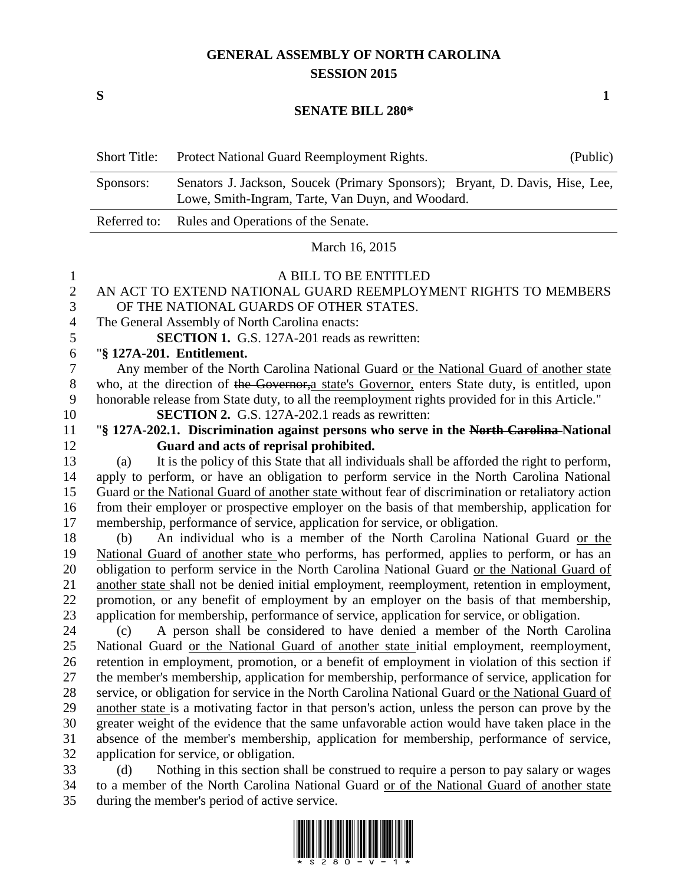## **GENERAL ASSEMBLY OF NORTH CAROLINA SESSION 2015**

**S 1**

#### **SENATE BILL 280\***

| <b>Short Title:</b> | Protect National Guard Reemployment Rights.                                                                                       | (Public) |
|---------------------|-----------------------------------------------------------------------------------------------------------------------------------|----------|
| Sponsors:           | Senators J. Jackson, Soucek (Primary Sponsors); Bryant, D. Davis, Hise, Lee,<br>Lowe, Smith-Ingram, Tarte, Van Duyn, and Woodard. |          |
|                     | Referred to: Rules and Operations of the Senate.                                                                                  |          |

March 16, 2015

# A BILL TO BE ENTITLED

## AN ACT TO EXTEND NATIONAL GUARD REEMPLOYMENT RIGHTS TO MEMBERS OF THE NATIONAL GUARDS OF OTHER STATES. The General Assembly of North Carolina enacts: **SECTION 1.** G.S. 127A-201 reads as rewritten: "**§ 127A-201. Entitlement.** Any member of the North Carolina National Guard or the National Guard of another state 8 who, at the direction of the Governor, a state's Governor, enters State duty, is entitled, upon honorable release from State duty, to all the reemployment rights provided for in this Article." **SECTION 2.** G.S. 127A-202.1 reads as rewritten: "**§ 127A-202.1. Discrimination against persons who serve in the North Carolina National Guard and acts of reprisal prohibited.** (a) It is the policy of this State that all individuals shall be afforded the right to perform, apply to perform, or have an obligation to perform service in the North Carolina National Guard or the National Guard of another state without fear of discrimination or retaliatory action from their employer or prospective employer on the basis of that membership, application for membership, performance of service, application for service, or obligation. (b) An individual who is a member of the North Carolina National Guard or the National Guard of another state who performs, has performed, applies to perform, or has an obligation to perform service in the North Carolina National Guard or the National Guard of another state shall not be denied initial employment, reemployment, retention in employment, promotion, or any benefit of employment by an employer on the basis of that membership, application for membership, performance of service, application for service, or obligation. (c) A person shall be considered to have denied a member of the North Carolina National Guard or the National Guard of another state initial employment, reemployment, retention in employment, promotion, or a benefit of employment in violation of this section if the member's membership, application for membership, performance of service, application for service, or obligation for service in the North Carolina National Guard or the National Guard of another state is a motivating factor in that person's action, unless the person can prove by the greater weight of the evidence that the same unfavorable action would have taken place in the absence of the member's membership, application for membership, performance of service, application for service, or obligation. (d) Nothing in this section shall be construed to require a person to pay salary or wages to a member of the North Carolina National Guard or of the National Guard of another state

during the member's period of active service.